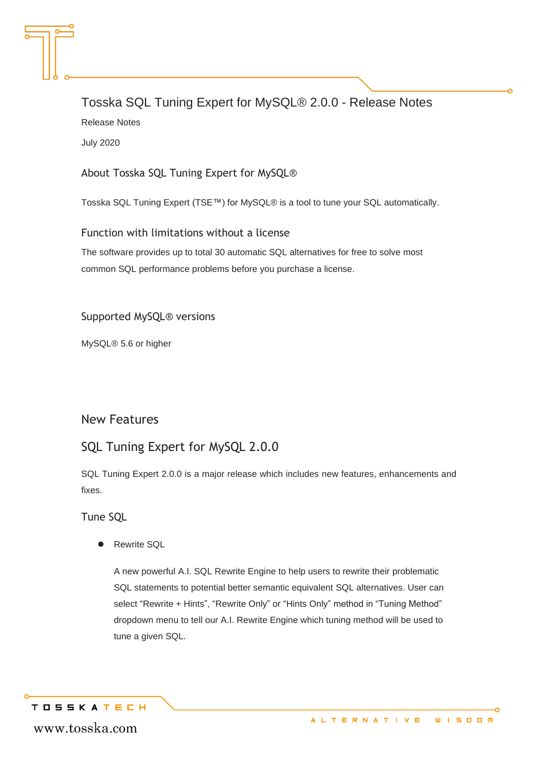# Tosska SQL Tuning Expert for MySQL® 2.0.0 - Release Notes Release Notes July 2020

About Tosska SQL Tuning Expert for MySQL®

Tosska SQL Tuning Expert (TSE™) for MySQL® is a tool to tune your SQL automatically.

#### Function with limitations without a license

The software provides up to total 30 automatic SQL alternatives for free to solve most common SQL performance problems before you purchase a license.

#### Supported MySQL® versions

MySQL® 5.6 or higher

### New Features

### SQL Tuning Expert for MySQL 2.0.0

SQL Tuning Expert 2.0.0 is a major release which includes new features, enhancements and fixes.

Tune SQL

⚫ Rewrite SQL

A new powerful A.I. SQL Rewrite Engine to help users to rewrite their problematic SQL statements to potential better semantic equivalent SQL alternatives. User can select "Rewrite + Hints", "Rewrite Only" or "Hints Only" method in "Tuning Method" dropdown menu to tell our A.I. Rewrite Engine which tuning method will be used to tune a given SQL.

**TOSSKATECH** 

www.tosska.com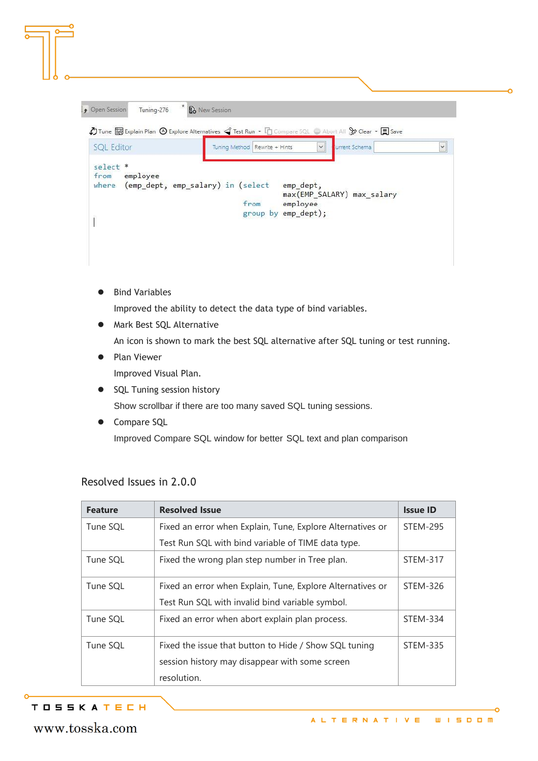| Tuning-276<br>Dpen Session   | * <b>B</b> New Session                                                                                                                                                          |
|------------------------------|---------------------------------------------------------------------------------------------------------------------------------------------------------------------------------|
|                              | $\bigcirc$ Tune $\Box$ Explain Plan $\bigcirc$ Explore Alternatives $\triangleleft$ Test Run $\cdot$ $\Box$ Compare SQL $\rightarrow$ Abort All $\Im$ Clear $\cdot$ $\Box$ Save |
| <b>SQL Editor</b>            | $\checkmark$<br>Tuning Method   Rewrite + Hints<br>$\checkmark$<br>urrent Schema                                                                                                |
| select *<br>employee<br>from | where (emp_dept, emp_salary) in (select<br>emp_dept,<br>max(EMP_SALARY) max_salary<br>from<br>employee                                                                          |
|                              | group by emp_dept);                                                                                                                                                             |

● Bind Variables

Improved the ability to detect the data type of bind variables.

⚫ Mark Best SQL Alternative

An icon is shown to mark the best SQL alternative after SQL tuning or test running.

● Plan Viewer

Improved Visual Plan.

- SQL Tuning session history Show scrollbar if there are too many saved SQL tuning sessions.
- ⚫ Compare SQL Improved Compare SQL window for better SQL text and plan comparison

| <b>Feature</b> | <b>Resolved Issue</b>                                      | <b>Issue ID</b> |
|----------------|------------------------------------------------------------|-----------------|
| Tune SQL       | Fixed an error when Explain, Tune, Explore Alternatives or | <b>STEM-295</b> |
|                | Test Run SQL with bind variable of TIME data type.         |                 |
| Tune SQL       | Fixed the wrong plan step number in Tree plan.             | <b>STEM-317</b> |
| Tune SQL       | Fixed an error when Explain, Tune, Explore Alternatives or | STEM-326        |
|                | Test Run SQL with invalid bind variable symbol.            |                 |
| Tune SQL       | Fixed an error when abort explain plan process.            | <b>STEM-334</b> |
| Tune SQL       | Fixed the issue that button to Hide / Show SQL tuning      | <b>STEM-335</b> |
|                | session history may disappear with some screen             |                 |
|                | resolution.                                                |                 |

#### Resolved Issues in 2.0.0

### **TOSSKATECH**

www.tosska.com

ò

Ò.